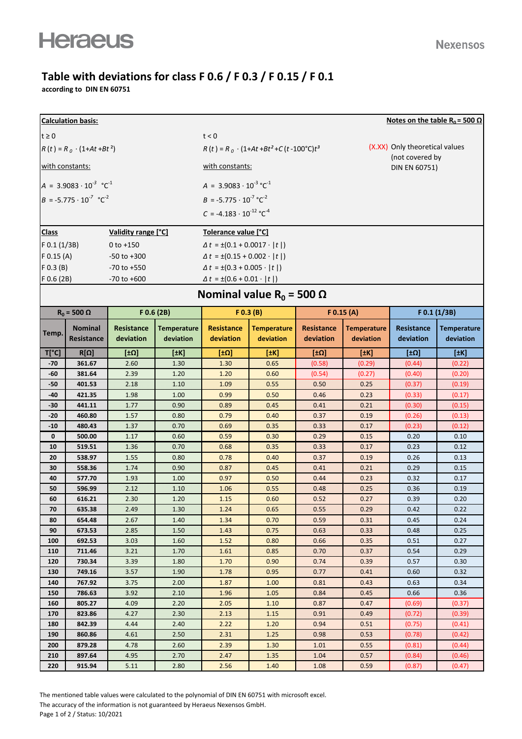## **Table with deviations for class F 0.6 / F 0.3 / F 0.15 / F 0.1**

**according to DIN EN 60751**

| <b>Calculation basis:</b><br>Notes on the table R <sub>0</sub> = 500 $\Omega$ |                                            |                   |                                           |                                                     |                                           |                   |                                                   |              |                    |  |  |  |
|-------------------------------------------------------------------------------|--------------------------------------------|-------------------|-------------------------------------------|-----------------------------------------------------|-------------------------------------------|-------------------|---------------------------------------------------|--------------|--------------------|--|--|--|
| $t \geq 0$                                                                    |                                            |                   |                                           | t < 0                                               |                                           |                   |                                                   |              |                    |  |  |  |
| $R(t) = R_0 \cdot (1 + At + Bt^2)$                                            |                                            |                   |                                           | $R(t) = R_0 \cdot (1+At+Bt^2+C(t-100^{\circ}C)t^3)$ |                                           |                   | (X.XX) Only theoretical values<br>(not covered by |              |                    |  |  |  |
| with constants:                                                               |                                            |                   |                                           | with constants:<br>DIN EN 60751)                    |                                           |                   |                                                   |              |                    |  |  |  |
| $A = 3.9083 \cdot 10^{-3} \text{ °C}^1$                                       |                                            |                   |                                           | $A = 3.9083 \cdot 10^{-3} \text{ °C}^{-1}$          |                                           |                   |                                                   |              |                    |  |  |  |
|                                                                               | $B = -5.775 \cdot 10^{-7} \text{ °C}^{-2}$ |                   |                                           | $B = -5.775 \cdot 10^{-7} \,^{\circ} \text{C}^{-2}$ |                                           |                   |                                                   |              |                    |  |  |  |
|                                                                               |                                            |                   |                                           | $C = -4.183 \cdot 10^{-12}$ °C <sup>-4</sup>        |                                           |                   |                                                   |              |                    |  |  |  |
|                                                                               |                                            |                   |                                           |                                                     |                                           |                   |                                                   |              |                    |  |  |  |
| Validity range [°C]<br><b>Class</b>                                           |                                            |                   | Tolerance value [°C]                      |                                                     |                                           |                   |                                                   |              |                    |  |  |  |
| $F$ 0.1 (1/3B)                                                                |                                            | $0 to +150$       |                                           |                                                     | $\Delta t = \pm (0.1 + 0.0017 \cdot  t )$ |                   |                                                   |              |                    |  |  |  |
| $F$ 0.15 (A)<br>$-50$ to $+300$                                               |                                            |                   | $\Delta t = \pm (0.15 + 0.002 \cdot  t )$ |                                                     |                                           |                   |                                                   |              |                    |  |  |  |
| $F$ 0.3 (B)<br>$-70$ to $+550$                                                |                                            |                   | $\Delta t = \pm (0.3 + 0.005 \cdot  t )$  |                                                     |                                           |                   |                                                   |              |                    |  |  |  |
| $F$ 0.6 (2B)                                                                  |                                            | $-70$ to $+600$   |                                           | $\Delta t = \pm (0.6 + 0.01 \cdot  t )$             |                                           |                   |                                                   |              |                    |  |  |  |
|                                                                               | Nominal value $R_0 = 500 \Omega$           |                   |                                           |                                                     |                                           |                   |                                                   |              |                    |  |  |  |
| $R_0$ = 500 $\Omega$                                                          |                                            | $F$ 0.6 (2B)      |                                           | F(0.3 (B))                                          |                                           | $F$ 0.15 (A)      |                                                   | F 0.1 (1/3B) |                    |  |  |  |
|                                                                               | <b>Nominal</b>                             | <b>Resistance</b> | <b>Temperature</b>                        | <b>Resistance</b>                                   | <b>Temperature</b>                        | <b>Resistance</b> | <b>Temperature</b>                                | Resistance   | <b>Temperature</b> |  |  |  |
| Temp.                                                                         | Resistance                                 | deviation         | deviation                                 | deviation                                           | deviation                                 | deviation         | deviation                                         | deviation    | deviation          |  |  |  |
| $T[^{\circ}C]$                                                                | $R[\Omega]$                                | [ $±Ω$ ]          | [#K]                                      | $[\pm \Omega]$                                      | [±K]                                      | <u>[±Ω]</u>       | [±K]                                              | [ $±Ω$ ]     | [HK]               |  |  |  |
| $-70$                                                                         | 361.67                                     | 2.60              | 1.30                                      | 1.30                                                | 0.65                                      | (0.58)            | (0.29)                                            | (0.44)       | (0.22)             |  |  |  |
| -60                                                                           | 381.64                                     | 2.39              | 1.20                                      | 1.20                                                | 0.60                                      | (0.54)            | (0.27)                                            | (0.40)       | (0.20)             |  |  |  |
| $-50$                                                                         | 401.53                                     | 2.18              | 1.10                                      | 1.09                                                | 0.55                                      | 0.50              | 0.25                                              | (0.37)       | (0.19)             |  |  |  |
| -40                                                                           | 421.35                                     | 1.98              | 1.00                                      | 0.99                                                | 0.50                                      | 0.46              | 0.23                                              | (0.33)       | (0.17)             |  |  |  |
| $-30$                                                                         | 441.11                                     | 1.77              | 0.90                                      | 0.89                                                | 0.45                                      | 0.41              | 0.21                                              | (0.30)       | (0.15)             |  |  |  |
| $-20$                                                                         | 460.80                                     | 1.57              | 0.80                                      | 0.79                                                | 0.40                                      | 0.37              | 0.19                                              | (0.26)       | (0.13)             |  |  |  |
| $-10$                                                                         | 480.43                                     | 1.37              | 0.70                                      | 0.69                                                | 0.35                                      | 0.33              | 0.17                                              | (0.23)       | (0.12)             |  |  |  |
| $\mathbf 0$                                                                   | 500.00                                     | 1.17              | 0.60                                      | 0.59                                                | 0.30                                      | 0.29              | 0.15                                              | 0.20         | 0.10               |  |  |  |
| 10                                                                            | 519.51                                     | 1.36              | 0.70                                      | 0.68                                                | 0.35                                      | 0.33              | 0.17                                              | 0.23         | 0.12               |  |  |  |
| 20                                                                            | 538.97                                     | 1.55              | 0.80                                      | 0.78                                                | 0.40                                      | 0.37              | 0.19                                              | 0.26         | 0.13               |  |  |  |
| 30<br>40                                                                      | 558.36<br>577.70                           | 1.74<br>1.93      | 0.90<br>1.00                              | 0.87<br>0.97                                        | 0.45                                      | 0.41              | 0.21                                              | 0.29         | 0.15               |  |  |  |
| 50                                                                            | 596.99                                     | 2.12              | 1.10                                      | 1.06                                                | 0.50<br>0.55                              | 0.44<br>0.48      | 0.23<br>0.25                                      | 0.32<br>0.36 | 0.17<br>0.19       |  |  |  |
| 60                                                                            | 616.21                                     | 2.30              | 1.20                                      | 1.15                                                | 0.60                                      | 0.52              | 0.27                                              | 0.39         | 0.20               |  |  |  |
| 70                                                                            | 635.38                                     | 2.49              | 1.30                                      | 1.24                                                | 0.65                                      | 0.55              | 0.29                                              | 0.42         | 0.22               |  |  |  |
| 80                                                                            | 654.48                                     | 2.67              | 1.40                                      | 1.34                                                | 0.70                                      | 0.59              | 0.31                                              | 0.45         | 0.24               |  |  |  |
| 90                                                                            | 673.53                                     | 2.85              | 1.50                                      | 1.43                                                | 0.75                                      | 0.63              | 0.33                                              | 0.48         | 0.25               |  |  |  |
| 100                                                                           | 692.53                                     | 3.03              | 1.60                                      | 1.52                                                | 0.80                                      | 0.66              | 0.35                                              | 0.51         | 0.27               |  |  |  |
| 110                                                                           | 711.46                                     | 3.21              | 1.70                                      | 1.61                                                | 0.85                                      | 0.70              | 0.37                                              | 0.54         | 0.29               |  |  |  |
| 120                                                                           | 730.34                                     | 3.39              | 1.80                                      | 1.70                                                | 0.90                                      | 0.74              | 0.39                                              | 0.57         | 0.30               |  |  |  |
| 130                                                                           | 749.16                                     | 3.57              | 1.90                                      | 1.78                                                | 0.95                                      | 0.77              | 0.41                                              | 0.60         | 0.32               |  |  |  |
| 140                                                                           | 767.92                                     | 3.75              | 2.00                                      | 1.87                                                | 1.00                                      | 0.81              | 0.43                                              | 0.63         | 0.34               |  |  |  |
| 150                                                                           | 786.63                                     | 3.92              | 2.10                                      | 1.96                                                | 1.05                                      | 0.84              | 0.45                                              | 0.66         | 0.36               |  |  |  |
| 160                                                                           | 805.27                                     | 4.09              | 2.20                                      | 2.05                                                | 1.10                                      | 0.87              | 0.47                                              | (0.69)       | (0.37)             |  |  |  |
| 170                                                                           | 823.86                                     | 4.27              | 2.30                                      | 2.13                                                | 1.15                                      | 0.91              | 0.49                                              | (0.72)       | (0.39)             |  |  |  |
| 180                                                                           | 842.39                                     | 4.44              | 2.40                                      | 2.22                                                | 1.20                                      | 0.94              | 0.51                                              | (0.75)       | (0.41)             |  |  |  |
| 190                                                                           | 860.86                                     | 4.61              | 2.50                                      | 2.31                                                | 1.25                                      | 0.98              | 0.53                                              | (0.78)       | (0.42)             |  |  |  |
| 200                                                                           | 879.28                                     | 4.78              | 2.60                                      | 2.39                                                | 1.30                                      | 1.01              | 0.55                                              | (0.81)       | (0.44)             |  |  |  |
| 210                                                                           | 897.64                                     | 4.95              | 2.70                                      | 2.47                                                | 1.35                                      | 1.04              | 0.57                                              | (0.84)       | (0.46)             |  |  |  |
| 220                                                                           | 915.94                                     | 5.11              | 2.80                                      | 2.56                                                | 1.40                                      | 1.08              | 0.59                                              | (0.87)       | (0.47)             |  |  |  |

The mentioned table values were calculated to the polynomial of DIN EN 60751 with microsoft excel. The accuracy of the information is not guaranteed by Heraeus Nexensos GmbH. Page 1 of 2 / Status: 10/2021